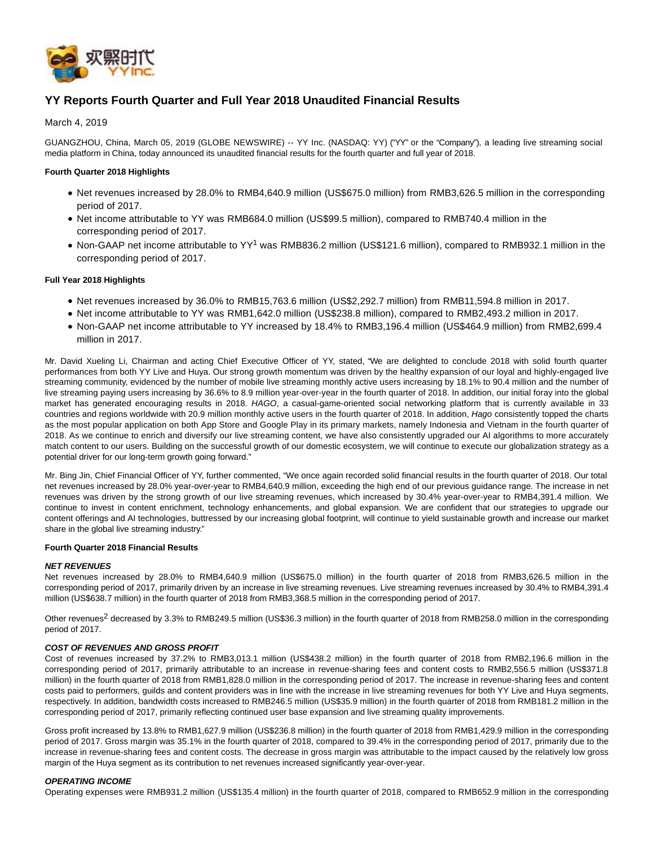

# **YY Reports Fourth Quarter and Full Year 2018 Unaudited Financial Results**

### March 4, 2019

GUANGZHOU, China, March 05, 2019 (GLOBE NEWSWIRE) -- YY Inc. (NASDAQ: YY) ("YY" or the "Company"), a leading live streaming social media platform in China, today announced its unaudited financial results for the fourth quarter and full year of 2018.

#### **Fourth Quarter 2018 Highlights**

- Net revenues increased by 28.0% to RMB4,640.9 million (US\$675.0 million) from RMB3,626.5 million in the corresponding period of 2017.
- Net income attributable to YY was RMB684.0 million (US\$99.5 million), compared to RMB740.4 million in the corresponding period of 2017.
- Non-GAAP net income attributable to YY<sup>1</sup> was RMB836.2 million (US\$121.6 million), compared to RMB932.1 million in the corresponding period of 2017.

#### **Full Year 2018 Highlights**

- Net revenues increased by 36.0% to RMB15,763.6 million (US\$2,292.7 million) from RMB11,594.8 million in 2017.
- Net income attributable to YY was RMB1,642.0 million (US\$238.8 million), compared to RMB2,493.2 million in 2017.
- Non-GAAP net income attributable to YY increased by 18.4% to RMB3,196.4 million (US\$464.9 million) from RMB2,699.4 million in 2017.

Mr. David Xueling Li, Chairman and acting Chief Executive Officer of YY, stated, "We are delighted to conclude 2018 with solid fourth quarter performances from both YY Live and Huya. Our strong growth momentum was driven by the healthy expansion of our loyal and highly-engaged live streaming community, evidenced by the number of mobile live streaming monthly active users increasing by 18.1% to 90.4 million and the number of live streaming paying users increasing by 36.6% to 8.9 million year-over-year in the fourth quarter of 2018. In addition, our initial foray into the global market has generated encouraging results in 2018. HAGO, a casual-game-oriented social networking platform that is currently available in 33 countries and regions worldwide with 20.9 million monthly active users in the fourth quarter of 2018. In addition, Hago consistently topped the charts as the most popular application on both App Store and Google Play in its primary markets, namely Indonesia and Vietnam in the fourth quarter of 2018. As we continue to enrich and diversify our live streaming content, we have also consistently upgraded our AI algorithms to more accurately match content to our users. Building on the successful growth of our domestic ecosystem, we will continue to execute our globalization strategy as a potential driver for our long-term growth going forward."

Mr. Bing Jin, Chief Financial Officer of YY, further commented, "We once again recorded solid financial results in the fourth quarter of 2018. Our total net revenues increased by 28.0% year-over-year to RMB4,640.9 million, exceeding the high end of our previous guidance range. The increase in net revenues was driven by the strong growth of our live streaming revenues, which increased by 30.4% year-over-year to RMB4,391.4 million. We continue to invest in content enrichment, technology enhancements, and global expansion. We are confident that our strategies to upgrade our content offerings and AI technologies, buttressed by our increasing global footprint, will continue to yield sustainable growth and increase our market share in the global live streaming industry."

#### **Fourth Quarter 2018 Financial Results**

#### **NET REVENUES**

Net revenues increased by 28.0% to RMB4,640.9 million (US\$675.0 million) in the fourth quarter of 2018 from RMB3,626.5 million in the corresponding period of 2017, primarily driven by an increase in live streaming revenues. Live streaming revenues increased by 30.4% to RMB4,391.4 million (US\$638.7 million) in the fourth quarter of 2018 from RMB3,368.5 million in the corresponding period of 2017.

Other revenues<sup>2</sup> decreased by 3.3% to RMB249.5 million (US\$36.3 million) in the fourth quarter of 2018 from RMB258.0 million in the corresponding period of 2017.

#### **COST OF REVENUES AND GROSS PROFIT**

Cost of revenues increased by 37.2% to RMB3,013.1 million (US\$438.2 million) in the fourth quarter of 2018 from RMB2,196.6 million in the corresponding period of 2017, primarily attributable to an increase in revenue-sharing fees and content costs to RMB2,556.5 million (US\$371.8 million) in the fourth quarter of 2018 from RMB1,828.0 million in the corresponding period of 2017. The increase in revenue-sharing fees and content costs paid to performers, guilds and content providers was in line with the increase in live streaming revenues for both YY Live and Huya segments, respectively. In addition, bandwidth costs increased to RMB246.5 million (US\$35.9 million) in the fourth quarter of 2018 from RMB181.2 million in the corresponding period of 2017, primarily reflecting continued user base expansion and live streaming quality improvements.

Gross profit increased by 13.8% to RMB1,627.9 million (US\$236.8 million) in the fourth quarter of 2018 from RMB1,429.9 million in the corresponding period of 2017. Gross margin was 35.1% in the fourth quarter of 2018, compared to 39.4% in the corresponding period of 2017, primarily due to the increase in revenue-sharing fees and content costs. The decrease in gross margin was attributable to the impact caused by the relatively low gross margin of the Huya segment as its contribution to net revenues increased significantly year-over-year.

#### **OPERATING INCOME**

Operating expenses were RMB931.2 million (US\$135.4 million) in the fourth quarter of 2018, compared to RMB652.9 million in the corresponding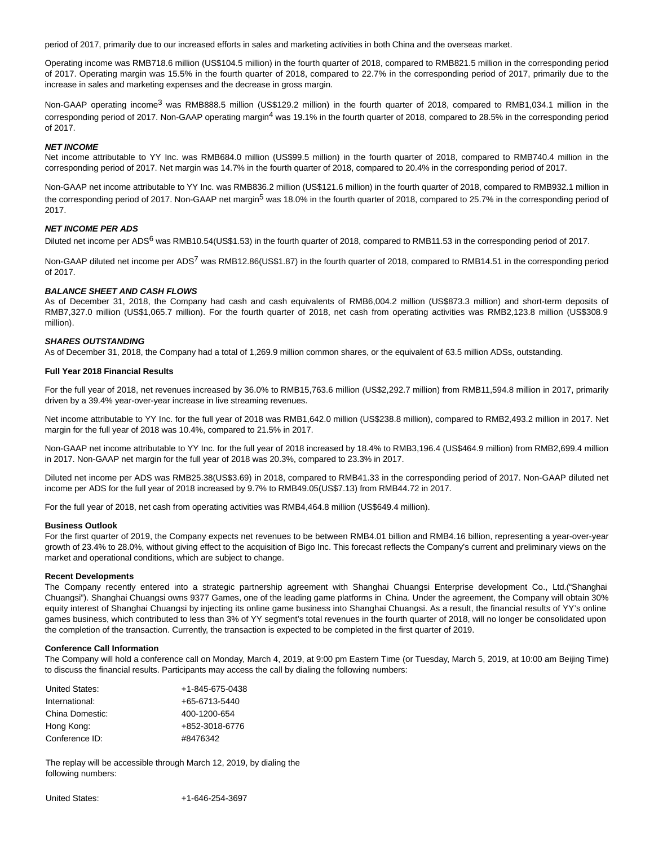period of 2017, primarily due to our increased efforts in sales and marketing activities in both China and the overseas market.

Operating income was RMB718.6 million (US\$104.5 million) in the fourth quarter of 2018, compared to RMB821.5 million in the corresponding period of 2017. Operating margin was 15.5% in the fourth quarter of 2018, compared to 22.7% in the corresponding period of 2017, primarily due to the increase in sales and marketing expenses and the decrease in gross margin.

Non-GAAP operating income<sup>3</sup> was RMB888.5 million (US\$129.2 million) in the fourth quarter of 2018, compared to RMB1,034.1 million in the corresponding period of 2017. Non-GAAP operating margin<sup>4</sup> was 19.1% in the fourth quarter of 2018, compared to 28.5% in the corresponding period of 2017.

#### **NET INCOME**

Net income attributable to YY Inc. was RMB684.0 million (US\$99.5 million) in the fourth quarter of 2018, compared to RMB740.4 million in the corresponding period of 2017. Net margin was 14.7% in the fourth quarter of 2018, compared to 20.4% in the corresponding period of 2017.

Non-GAAP net income attributable to YY Inc. was RMB836.2 million (US\$121.6 million) in the fourth quarter of 2018, compared to RMB932.1 million in the corresponding period of 2017. Non-GAAP net margin<sup>5</sup> was 18.0% in the fourth quarter of 2018, compared to 25.7% in the corresponding period of 2017.

#### **NET INCOME PER ADS**

Diluted net income per ADS<sup>6</sup> was RMB10.54(US\$1.53) in the fourth quarter of 2018, compared to RMB11.53 in the corresponding period of 2017.

Non-GAAP diluted net income per ADS<sup>7</sup> was RMB12.86(US\$1.87) in the fourth quarter of 2018, compared to RMB14.51 in the corresponding period of 2017.

#### **BALANCE SHEET AND CASH FLOWS**

As of December 31, 2018, the Company had cash and cash equivalents of RMB6,004.2 million (US\$873.3 million) and short-term deposits of RMB7,327.0 million (US\$1,065.7 million). For the fourth quarter of 2018, net cash from operating activities was RMB2,123.8 million (US\$308.9 million).

#### **SHARES OUTSTANDING**

As of December 31, 2018, the Company had a total of 1,269.9 million common shares, or the equivalent of 63.5 million ADSs, outstanding.

#### **Full Year 2018 Financial Results**

For the full year of 2018, net revenues increased by 36.0% to RMB15,763.6 million (US\$2,292.7 million) from RMB11,594.8 million in 2017, primarily driven by a 39.4% year-over-year increase in live streaming revenues.

Net income attributable to YY Inc. for the full year of 2018 was RMB1,642.0 million (US\$238.8 million), compared to RMB2,493.2 million in 2017. Net margin for the full year of 2018 was 10.4%, compared to 21.5% in 2017.

Non-GAAP net income attributable to YY Inc. for the full year of 2018 increased by 18.4% to RMB3,196.4 (US\$464.9 million) from RMB2,699.4 million in 2017. Non-GAAP net margin for the full year of 2018 was 20.3%, compared to 23.3% in 2017.

Diluted net income per ADS was RMB25.38(US\$3.69) in 2018, compared to RMB41.33 in the corresponding period of 2017. Non-GAAP diluted net income per ADS for the full year of 2018 increased by 9.7% to RMB49.05(US\$7.13) from RMB44.72 in 2017.

For the full year of 2018, net cash from operating activities was RMB4,464.8 million (US\$649.4 million).

#### **Business Outlook**

For the first quarter of 2019, the Company expects net revenues to be between RMB4.01 billion and RMB4.16 billion, representing a year-over-year growth of 23.4% to 28.0%, without giving effect to the acquisition of Bigo Inc. This forecast reflects the Company's current and preliminary views on the market and operational conditions, which are subject to change.

#### **Recent Developments**

The Company recently entered into a strategic partnership agreement with Shanghai Chuangsi Enterprise development Co., Ltd.("Shanghai Chuangsi"). Shanghai Chuangsi owns 9377 Games, one of the leading game platforms in China. Under the agreement, the Company will obtain 30% equity interest of Shanghai Chuangsi by injecting its online game business into Shanghai Chuangsi. As a result, the financial results of YY's online games business, which contributed to less than 3% of YY segment's total revenues in the fourth quarter of 2018, will no longer be consolidated upon the completion of the transaction. Currently, the transaction is expected to be completed in the first quarter of 2019.

#### **Conference Call Information**

The Company will hold a conference call on Monday, March 4, 2019, at 9:00 pm Eastern Time (or Tuesday, March 5, 2019, at 10:00 am Beijing Time) to discuss the financial results. Participants may access the call by dialing the following numbers:

| <b>United States:</b> | +1-845-675-0438 |
|-----------------------|-----------------|
| International:        | +65-6713-5440   |
| China Domestic:       | 400-1200-654    |
| Hong Kong:            | +852-3018-6776  |
| Conference ID:        | #8476342        |

The replay will be accessible through March 12, 2019, by dialing the following numbers: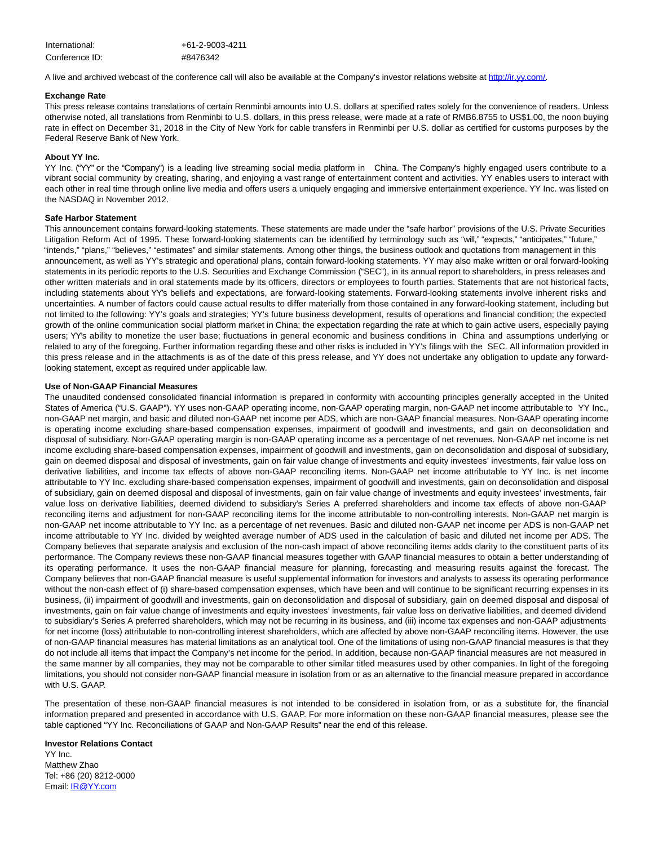A live and archived webcast of the conference call will also be available at the Company's investor relations website at [http://ir.yy.com/.](https://www.globenewswire.com/Tracker?data=C3YGwskESnVqmJeB3TYDMAmfQ1XxOEyaH6WD4zMMcdFtCntV8GWgJTBFsAZZAjo4i4pQoqopVtBtKTPYGNj01A==)

#### **Exchange Rate**

This press release contains translations of certain Renminbi amounts into U.S. dollars at specified rates solely for the convenience of readers. Unless otherwise noted, all translations from Renminbi to U.S. dollars, in this press release, were made at a rate of RMB6.8755 to US\$1.00, the noon buying rate in effect on December 31, 2018 in the City of New York for cable transfers in Renminbi per U.S. dollar as certified for customs purposes by the Federal Reserve Bank of New York.

#### **About YY Inc.**

YY Inc. ("YY" or the "Company") is a leading live streaming social media platform in China. The Company's highly engaged users contribute to a vibrant social community by creating, sharing, and enjoying a vast range of entertainment content and activities. YY enables users to interact with each other in real time through online live media and offers users a uniquely engaging and immersive entertainment experience. YY Inc. was listed on the NASDAQ in November 2012.

#### **Safe Harbor Statement**

This announcement contains forward-looking statements. These statements are made under the "safe harbor" provisions of the U.S. Private Securities Litigation Reform Act of 1995. These forward-looking statements can be identified by terminology such as "will," "expects," "anticipates," "future," "intends," "plans," "believes," "estimates" and similar statements. Among other things, the business outlook and quotations from management in this announcement, as well as YY's strategic and operational plans, contain forward-looking statements. YY may also make written or oral forward-looking statements in its periodic reports to the U.S. Securities and Exchange Commission ("SEC"), in its annual report to shareholders, in press releases and other written materials and in oral statements made by its officers, directors or employees to fourth parties. Statements that are not historical facts, including statements about YY's beliefs and expectations, are forward-looking statements. Forward-looking statements involve inherent risks and uncertainties. A number of factors could cause actual results to differ materially from those contained in any forward-looking statement, including but not limited to the following: YY's goals and strategies; YY's future business development, results of operations and financial condition; the expected growth of the online communication social platform market in China; the expectation regarding the rate at which to gain active users, especially paying users; YY's ability to monetize the user base; fluctuations in general economic and business conditions in China and assumptions underlying or related to any of the foregoing. Further information regarding these and other risks is included in YY's filings with the SEC. All information provided in this press release and in the attachments is as of the date of this press release, and YY does not undertake any obligation to update any forwardlooking statement, except as required under applicable law.

#### **Use of Non-GAAP Financial Measures**

The unaudited condensed consolidated financial information is prepared in conformity with accounting principles generally accepted in the United States of America ("U.S. GAAP"). YY uses non-GAAP operating income, non-GAAP operating margin, non-GAAP net income attributable to YY Inc**.**, non-GAAP net margin, and basic and diluted non-GAAP net income per ADS, which are non-GAAP financial measures. Non-GAAP operating income is operating income excluding share-based compensation expenses, impairment of goodwill and investments, and gain on deconsolidation and disposal of subsidiary. Non-GAAP operating margin is non-GAAP operating income as a percentage of net revenues. Non-GAAP net income is net income excluding share-based compensation expenses, impairment of goodwill and investments, gain on deconsolidation and disposal of subsidiary, gain on deemed disposal and disposal of investments, gain on fair value change of investments and equity investees' investments, fair value loss on derivative liabilities, and income tax effects of above non-GAAP reconciling items. Non-GAAP net income attributable to YY Inc. is net income attributable to YY Inc. excluding share-based compensation expenses, impairment of goodwill and investments, gain on deconsolidation and disposal of subsidiary, gain on deemed disposal and disposal of investments, gain on fair value change of investments and equity investees' investments, fair value loss on derivative liabilities, deemed dividend to subsidiary's Series A preferred shareholders and income tax effects of above non-GAAP reconciling items and adjustment for non-GAAP reconciling items for the income attributable to non-controlling interests. Non-GAAP net margin is non-GAAP net income attributable to YY Inc. as a percentage of net revenues. Basic and diluted non-GAAP net income per ADS is non-GAAP net income attributable to YY Inc. divided by weighted average number of ADS used in the calculation of basic and diluted net income per ADS. The Company believes that separate analysis and exclusion of the non-cash impact of above reconciling items adds clarity to the constituent parts of its performance. The Company reviews these non-GAAP financial measures together with GAAP financial measures to obtain a better understanding of its operating performance. It uses the non-GAAP financial measure for planning, forecasting and measuring results against the forecast. The Company believes that non-GAAP financial measure is useful supplemental information for investors and analysts to assess its operating performance without the non-cash effect of (i) share-based compensation expenses, which have been and will continue to be significant recurring expenses in its business, (ii) impairment of goodwill and investments, gain on deconsolidation and disposal of subsidiary, gain on deemed disposal and disposal of investments, gain on fair value change of investments and equity investees' investments, fair value loss on derivative liabilities, and deemed dividend to subsidiary's Series A preferred shareholders, which may not be recurring in its business, and (iii) income tax expenses and non-GAAP adjustments for net income (loss) attributable to non-controlling interest shareholders, which are affected by above non-GAAP reconciling items. However, the use of non-GAAP financial measures has material limitations as an analytical tool. One of the limitations of using non-GAAP financial measures is that they do not include all items that impact the Company's net income for the period. In addition, because non-GAAP financial measures are not measured in the same manner by all companies, they may not be comparable to other similar titled measures used by other companies. In light of the foregoing limitations, you should not consider non-GAAP financial measure in isolation from or as an alternative to the financial measure prepared in accordance with U.S. GAAP.

The presentation of these non-GAAP financial measures is not intended to be considered in isolation from, or as a substitute for, the financial information prepared and presented in accordance with U.S. GAAP. For more information on these non-GAAP financial measures, please see the table captioned "YY Inc. Reconciliations of GAAP and Non-GAAP Results" near the end of this release.

#### **Investor Relations Contact**

YY Inc. Matthew Zhao Tel: +86 (20) 8212-0000 Email[: IR@YY.com](mailto:IR@YY.com)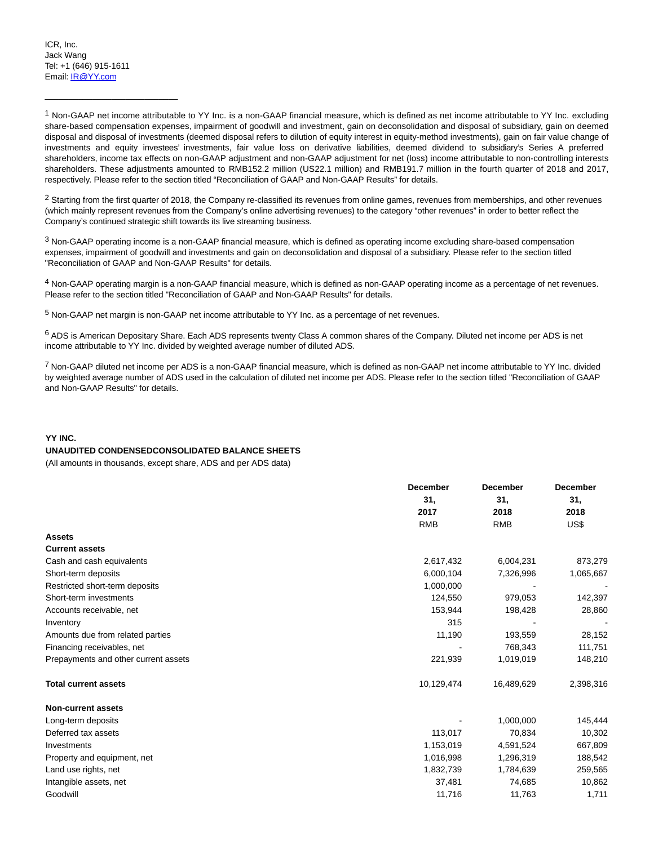\_\_\_\_\_\_\_\_\_\_\_\_\_\_\_\_\_\_\_\_\_\_\_\_\_\_\_\_

 $1$  Non-GAAP net income attributable to YY Inc. is a non-GAAP financial measure, which is defined as net income attributable to YY Inc. excluding share-based compensation expenses, impairment of goodwill and investment, gain on deconsolidation and disposal of subsidiary, gain on deemed disposal and disposal of investments (deemed disposal refers to dilution of equity interest in equity-method investments), gain on fair value change of investments and equity investees' investments, fair value loss on derivative liabilities, deemed dividend to subsidiary's Series A preferred shareholders, income tax effects on non-GAAP adjustment and non-GAAP adjustment for net (loss) income attributable to non-controlling interests shareholders. These adjustments amounted to RMB152.2 million (US22.1 million) and RMB191.7 million in the fourth quarter of 2018 and 2017, respectively. Please refer to the section titled "Reconciliation of GAAP and Non-GAAP Results" for details.

<sup>2</sup> Starting from the first quarter of 2018, the Company re-classified its revenues from online games, revenues from memberships, and other revenues (which mainly represent revenues from the Company's online advertising revenues) to the category "other revenues" in order to better reflect the Company's continued strategic shift towards its live streaming business.

3 Non-GAAP operating income is a non-GAAP financial measure, which is defined as operating income excluding share-based compensation expenses, impairment of goodwill and investments and gain on deconsolidation and disposal of a subsidiary. Please refer to the section titled "Reconciliation of GAAP and Non-GAAP Results" for details.

4 Non-GAAP operating margin is a non-GAAP financial measure, which is defined as non-GAAP operating income as a percentage of net revenues. Please refer to the section titled "Reconciliation of GAAP and Non-GAAP Results" for details.

5 Non-GAAP net margin is non-GAAP net income attributable to YY Inc. as a percentage of net revenues.

6 ADS is American Depositary Share. Each ADS represents twenty Class A common shares of the Company. Diluted net income per ADS is net income attributable to YY Inc. divided by weighted average number of diluted ADS.

 $^7$  Non-GAAP diluted net income per ADS is a non-GAAP financial measure, which is defined as non-GAAP net income attributable to YY Inc. divided by weighted average number of ADS used in the calculation of diluted net income per ADS. Please refer to the section titled "Reconciliation of GAAP and Non-GAAP Results" for details.

# **YY INC. UNAUDITED CONDENSEDCONSOLIDATED BALANCE SHEETS**

|                                      | <b>December</b> | <b>December</b> | <b>December</b> |
|--------------------------------------|-----------------|-----------------|-----------------|
|                                      | 31,             | 31,             | 31,             |
|                                      | 2017            | 2018            | 2018            |
|                                      | <b>RMB</b>      | <b>RMB</b>      | US\$            |
| <b>Assets</b>                        |                 |                 |                 |
| <b>Current assets</b>                |                 |                 |                 |
| Cash and cash equivalents            | 2,617,432       | 6,004,231       | 873,279         |
| Short-term deposits                  | 6,000,104       | 7,326,996       | 1,065,667       |
| Restricted short-term deposits       | 1,000,000       |                 |                 |
| Short-term investments               | 124,550         | 979,053         | 142,397         |
| Accounts receivable, net             | 153,944         | 198,428         | 28,860          |
| Inventory                            | 315             |                 |                 |
| Amounts due from related parties     | 11,190          | 193,559         | 28,152          |
| Financing receivables, net           |                 | 768,343         | 111,751         |
| Prepayments and other current assets | 221,939         | 1,019,019       | 148,210         |
| <b>Total current assets</b>          | 10,129,474      | 16,489,629      | 2,398,316       |
| <b>Non-current assets</b>            |                 |                 |                 |
| Long-term deposits                   |                 | 1,000,000       | 145,444         |
| Deferred tax assets                  | 113,017         | 70,834          | 10,302          |
| Investments                          | 1,153,019       | 4,591,524       | 667,809         |
| Property and equipment, net          | 1,016,998       | 1,296,319       | 188,542         |
| Land use rights, net                 | 1,832,739       | 1,784,639       | 259,565         |
| Intangible assets, net               | 37,481          | 74,685          | 10,862          |
| Goodwill                             | 11,716          | 11,763          | 1,711           |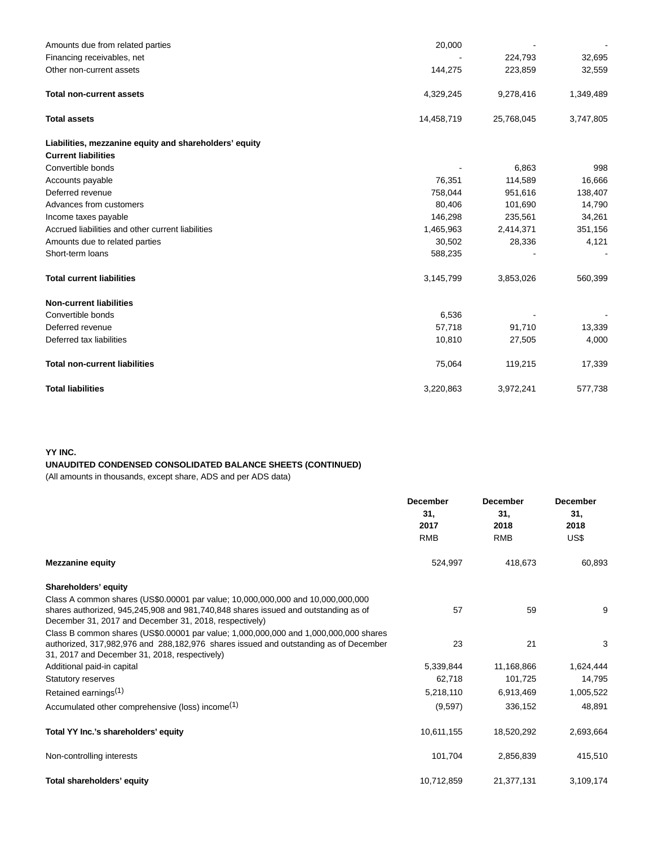| Amounts due from related parties                       | 20,000     |            |           |
|--------------------------------------------------------|------------|------------|-----------|
| Financing receivables, net                             |            | 224,793    | 32,695    |
| Other non-current assets                               | 144,275    | 223,859    | 32,559    |
| <b>Total non-current assets</b>                        | 4,329,245  | 9,278,416  | 1,349,489 |
| <b>Total assets</b>                                    | 14,458,719 | 25,768,045 | 3,747,805 |
| Liabilities, mezzanine equity and shareholders' equity |            |            |           |
| <b>Current liabilities</b>                             |            |            |           |
| Convertible bonds                                      |            | 6,863      | 998       |
| Accounts payable                                       | 76,351     | 114,589    | 16,666    |
| Deferred revenue                                       | 758,044    | 951,616    | 138,407   |
| Advances from customers                                | 80,406     | 101,690    | 14,790    |
| Income taxes payable                                   | 146,298    | 235,561    | 34,261    |
| Accrued liabilities and other current liabilities      | 1,465,963  | 2,414,371  | 351,156   |
| Amounts due to related parties                         | 30,502     | 28,336     | 4,121     |
| Short-term loans                                       | 588,235    |            |           |
| <b>Total current liabilities</b>                       | 3,145,799  | 3,853,026  | 560,399   |
| <b>Non-current liabilities</b>                         |            |            |           |
| Convertible bonds                                      | 6,536      |            |           |
| Deferred revenue                                       | 57,718     | 91,710     | 13,339    |
| Deferred tax liabilities                               | 10,810     | 27,505     | 4,000     |
| <b>Total non-current liabilities</b>                   | 75,064     | 119,215    | 17,339    |
| <b>Total liabilities</b>                               | 3,220,863  | 3,972,241  | 577,738   |

**YY INC.**

# **UNAUDITED CONDENSED CONSOLIDATED BALANCE SHEETS (CONTINUED)**

|                                                                                                                                                                                                                                 | <b>December</b><br>31.<br>2017<br><b>RMB</b> | <b>December</b><br>31,<br>2018<br><b>RMB</b> | <b>December</b><br>31.<br>2018<br>US\$ |
|---------------------------------------------------------------------------------------------------------------------------------------------------------------------------------------------------------------------------------|----------------------------------------------|----------------------------------------------|----------------------------------------|
| <b>Mezzanine equity</b>                                                                                                                                                                                                         | 524,997                                      | 418,673                                      | 60,893                                 |
| Shareholders' equity                                                                                                                                                                                                            |                                              |                                              |                                        |
| Class A common shares (US\$0.00001 par value; 10,000,000,000 and 10,000,000,000<br>shares authorized, 945,245,908 and 981,740,848 shares issued and outstanding as of<br>December 31, 2017 and December 31, 2018, respectively) | 57                                           | 59                                           | 9                                      |
| Class B common shares (US\$0.00001 par value; 1,000,000,000 and 1,000,000,000 shares<br>authorized, 317,982,976 and 288,182,976 shares issued and outstanding as of December<br>31, 2017 and December 31, 2018, respectively)   | 23                                           | 21                                           | 3                                      |
| Additional paid-in capital                                                                                                                                                                                                      | 5,339,844                                    | 11,168,866                                   | 1,624,444                              |
| <b>Statutory reserves</b>                                                                                                                                                                                                       | 62,718                                       | 101,725                                      | 14,795                                 |
| Retained earnings <sup>(1)</sup>                                                                                                                                                                                                | 5,218,110                                    | 6,913,469                                    | 1,005,522                              |
| Accumulated other comprehensive (loss) income <sup>(1)</sup>                                                                                                                                                                    | (9,597)                                      | 336,152                                      | 48,891                                 |
| Total YY Inc.'s shareholders' equity                                                                                                                                                                                            | 10,611,155                                   | 18,520,292                                   | 2,693,664                              |
| Non-controlling interests                                                                                                                                                                                                       | 101,704                                      | 2.856.839                                    | 415,510                                |
| Total shareholders' equity                                                                                                                                                                                                      | 10,712,859                                   | 21,377,131                                   | 3,109,174                              |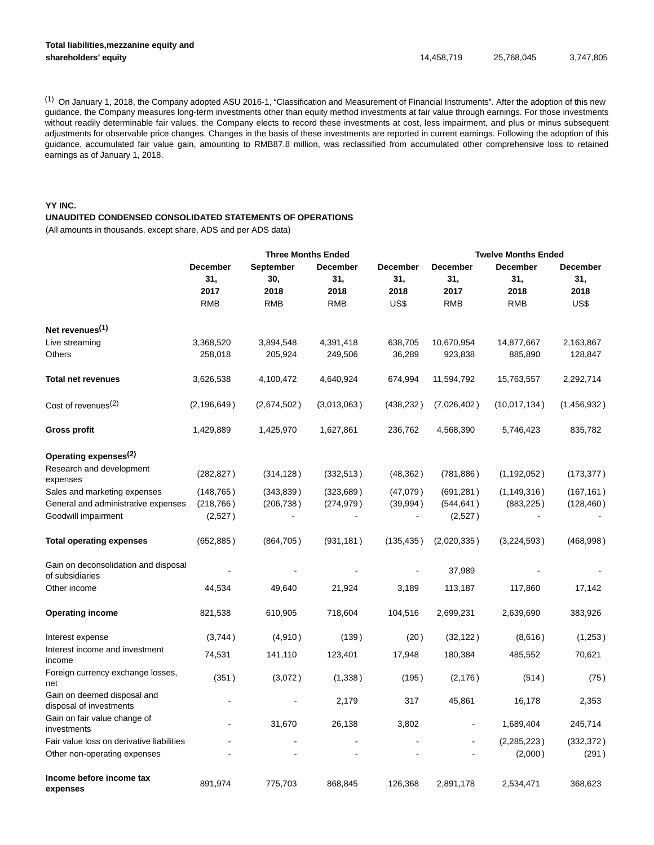(1) On January 1, 2018, the Company adopted ASU 2016-1, "Classification and Measurement of Financial Instruments". After the adoption of this new guidance, the Company measures long-term investments other than equity method investments at fair value through earnings. For those investments without readily determinable fair values, the Company elects to record these investments at cost, less impairment, and plus or minus subsequent adjustments for observable price changes. Changes in the basis of these investments are reported in current earnings. Following the adoption of this guidance, accumulated fair value gain, amounting to RMB87.8 million, was reclassified from accumulated other comprehensive loss to retained earnings as of January 1, 2018.

#### **YY INC.**

## **UNAUDITED CONDENSED CONSOLIDATED STATEMENTS OF OPERATIONS**

|                                                         |                                              | <b>Three Months Ended</b>                     |                                       |                                        | <b>Twelve Months Ended</b>                   |                                       |                                        |  |
|---------------------------------------------------------|----------------------------------------------|-----------------------------------------------|---------------------------------------|----------------------------------------|----------------------------------------------|---------------------------------------|----------------------------------------|--|
|                                                         | <b>December</b><br>31,<br>2017<br><b>RMB</b> | <b>September</b><br>30,<br>2018<br><b>RMB</b> | <b>December</b><br>31,<br>2018<br>RMB | <b>December</b><br>31,<br>2018<br>US\$ | <b>December</b><br>31,<br>2017<br><b>RMB</b> | <b>December</b><br>31,<br>2018<br>RMB | <b>December</b><br>31,<br>2018<br>US\$ |  |
|                                                         |                                              |                                               |                                       |                                        |                                              |                                       |                                        |  |
| Net revenues <sup>(1)</sup>                             |                                              |                                               |                                       |                                        |                                              |                                       |                                        |  |
| Live streaming                                          | 3,368,520                                    | 3,894,548                                     | 4,391,418                             | 638,705                                | 10,670,954                                   | 14,877,667                            | 2,163,867                              |  |
| <b>Others</b>                                           | 258,018                                      | 205,924                                       | 249,506                               | 36,289                                 | 923,838                                      | 885,890                               | 128,847                                |  |
| <b>Total net revenues</b>                               | 3,626,538                                    | 4,100,472                                     | 4,640,924                             | 674,994                                | 11,594,792                                   | 15,763,557                            | 2,292,714                              |  |
| Cost of revenues <sup>(2)</sup>                         | (2, 196, 649)                                | (2,674,502)                                   | (3,013,063)                           | (438, 232)                             | (7,026,402)                                  | (10,017,134)                          | (1,456,932)                            |  |
| <b>Gross profit</b>                                     | 1,429,889                                    | 1,425,970                                     | 1,627,861                             | 236,762                                | 4,568,390                                    | 5,746,423                             | 835,782                                |  |
| Operating expenses <sup>(2)</sup>                       |                                              |                                               |                                       |                                        |                                              |                                       |                                        |  |
| Research and development<br>expenses                    | (282, 827)                                   | (314, 128)                                    | (332, 513)                            | (48, 362)                              | (781, 886)                                   | (1, 192, 052)                         | (173, 377)                             |  |
| Sales and marketing expenses                            | (148, 765)                                   | (343, 839)                                    | (323, 689)                            | (47,079)                               | (691, 281)                                   | (1, 149, 316)                         | (167, 161)                             |  |
| General and administrative expenses                     | (218, 766)                                   | (206, 738)                                    | (274, 979)                            | (39, 994)                              | (544, 641)                                   | (883, 225)                            | (128, 460)                             |  |
| Goodwill impairment                                     | (2,527)                                      |                                               |                                       |                                        | (2,527)                                      |                                       |                                        |  |
| <b>Total operating expenses</b>                         | (652, 885)                                   | (864, 705)                                    | (931, 181)                            | (135, 435)                             | (2,020,335)                                  | (3,224,593)                           | (468, 998)                             |  |
| Gain on deconsolidation and disposal<br>of subsidiaries |                                              |                                               |                                       |                                        | 37,989                                       |                                       |                                        |  |
| Other income                                            | 44,534                                       | 49,640                                        | 21,924                                | 3,189                                  | 113,187                                      | 117,860                               | 17,142                                 |  |
| <b>Operating income</b>                                 | 821,538                                      | 610,905                                       | 718,604                               | 104,516                                | 2,699,231                                    | 2,639,690                             | 383,926                                |  |
| Interest expense                                        | (3,744)                                      | (4,910)                                       | (139)                                 | (20)                                   | (32, 122)                                    | (8,616)                               | (1,253)                                |  |
| Interest income and investment<br>income                | 74,531                                       | 141,110                                       | 123,401                               | 17,948                                 | 180,384                                      | 485,552                               | 70,621                                 |  |
| Foreign currency exchange losses,<br>net                | (351)                                        | (3,072)                                       | (1,338)                               | (195)                                  | (2, 176)                                     | (514)                                 | (75)                                   |  |
| Gain on deemed disposal and<br>disposal of investments  |                                              |                                               | 2,179                                 | 317                                    | 45,861                                       | 16,178                                | 2,353                                  |  |
| Gain on fair value change of<br>investments             |                                              | 31,670                                        | 26,138                                | 3,802                                  |                                              | 1,689,404                             | 245,714                                |  |
| Fair value loss on derivative liabilities               |                                              |                                               |                                       |                                        |                                              | (2,285,223)                           | (332, 372)                             |  |
| Other non-operating expenses                            |                                              |                                               |                                       |                                        |                                              | (2,000)                               | (291)                                  |  |
| Income before income tax<br>expenses                    | 891,974                                      | 775,703                                       | 868,845                               | 126,368                                | 2,891,178                                    | 2,534,471                             | 368,623                                |  |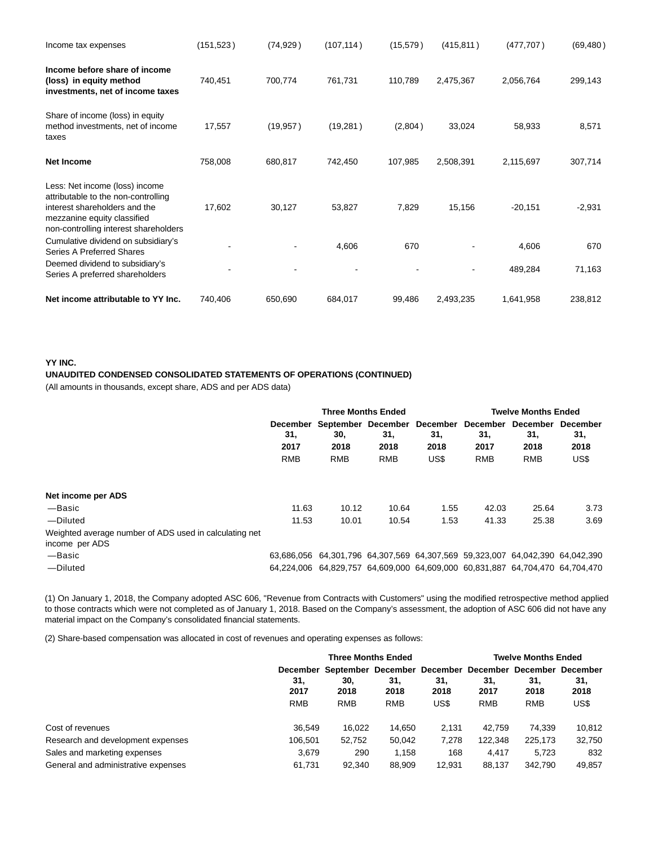| Income tax expenses                                                                                                                                                            | (151, 523) | (74, 929) | (107, 114) | (15, 579) | (415, 811) | (477, 707) | (69, 480) |
|--------------------------------------------------------------------------------------------------------------------------------------------------------------------------------|------------|-----------|------------|-----------|------------|------------|-----------|
| Income before share of income<br>(loss) in equity method<br>investments, net of income taxes                                                                                   | 740,451    | 700,774   | 761,731    | 110,789   | 2,475,367  | 2,056,764  | 299,143   |
| Share of income (loss) in equity<br>method investments, net of income<br>taxes                                                                                                 | 17,557     | (19, 957) | (19, 281)  | (2,804)   | 33,024     | 58,933     | 8,571     |
| <b>Net Income</b>                                                                                                                                                              | 758,008    | 680,817   | 742,450    | 107,985   | 2,508,391  | 2,115,697  | 307,714   |
| Less: Net income (loss) income<br>attributable to the non-controlling<br>interest shareholders and the<br>mezzanine equity classified<br>non-controlling interest shareholders | 17,602     | 30,127    | 53,827     | 7,829     | 15,156     | $-20,151$  | $-2,931$  |
| Cumulative dividend on subsidiary's<br>Series A Preferred Shares                                                                                                               |            |           | 4,606      | 670       |            | 4,606      | 670       |
| Deemed dividend to subsidiary's<br>Series A preferred shareholders                                                                                                             |            |           |            |           |            | 489,284    | 71,163    |
| Net income attributable to YY Inc.                                                                                                                                             | 740,406    | 650,690   | 684,017    | 99,486    | 2,493,235  | 1,641,958  | 238,812   |

#### **YY INC.**

# **UNAUDITED CONDENSED CONSOLIDATED STATEMENTS OF OPERATIONS (CONTINUED)**

(All amounts in thousands, except share, ADS and per ADS data)

|                                                                          | <b>Three Months Ended</b>             |                                                                              |                           |                                 | <b>Twelve Months Ended</b>                     |                           |                                 |
|--------------------------------------------------------------------------|---------------------------------------|------------------------------------------------------------------------------|---------------------------|---------------------------------|------------------------------------------------|---------------------------|---------------------------------|
|                                                                          | December<br>31,<br>2017<br><b>RMB</b> | September December<br>30.<br>2018<br><b>RMB</b>                              | 31.<br>2018<br><b>RMB</b> | December<br>31.<br>2018<br>US\$ | December December<br>31,<br>2017<br><b>RMB</b> | 31,<br>2018<br><b>RMB</b> | December<br>31.<br>2018<br>US\$ |
| Net income per ADS                                                       |                                       |                                                                              |                           |                                 |                                                |                           |                                 |
| -Basic                                                                   | 11.63                                 | 10.12                                                                        | 10.64                     | 1.55                            | 42.03                                          | 25.64                     | 3.73                            |
| -Diluted                                                                 | 11.53                                 | 10.01                                                                        | 10.54                     | 1.53                            | 41.33                                          | 25.38                     | 3.69                            |
| Weighted average number of ADS used in calculating net<br>income per ADS |                                       |                                                                              |                           |                                 |                                                |                           |                                 |
| -Basic                                                                   |                                       | 63,686,056 64,301,796 64,307,569 64,307,569 59,323,007 64,042,390 64,042,390 |                           |                                 |                                                |                           |                                 |
| -Diluted                                                                 |                                       | 64,224,006 64,829,757 64,609,000 64,609,000 60,831,887 64,704,470 64,704,470 |                           |                                 |                                                |                           |                                 |

(1) On January 1, 2018, the Company adopted ASC 606, "Revenue from Contracts with Customers" using the modified retrospective method applied to those contracts which were not completed as of January 1, 2018. Based on the Company's assessment, the adoption of ASC 606 did not have any material impact on the Company's consolidated financial statements.

(2) Share-based compensation was allocated in cost of revenues and operating expenses as follows:

|                                     | <b>Three Months Ended</b> |            |                                                                 |        | <b>Twelve Months Ended</b> |            |        |  |  |      |      |      |      |      |      |
|-------------------------------------|---------------------------|------------|-----------------------------------------------------------------|--------|----------------------------|------------|--------|--|--|------|------|------|------|------|------|
|                                     |                           |            | December September December December December December December |        |                            |            |        |  |  |      |      |      |      |      |      |
|                                     | 31.                       | 30.        | 31,                                                             | 31,    | 31.                        | 31,        | 31.    |  |  |      |      |      |      |      |      |
|                                     |                           |            |                                                                 |        | 2017                       |            |        |  |  | 2018 | 2018 | 2018 | 2017 | 2018 | 2018 |
|                                     | <b>RMB</b>                | <b>RMB</b> | <b>RMB</b>                                                      | US\$   | <b>RMB</b>                 | <b>RMB</b> | US\$   |  |  |      |      |      |      |      |      |
| Cost of revenues                    | 36.549                    | 16.022     | 14,650                                                          | 2.131  | 42.759                     | 74.339     | 10,812 |  |  |      |      |      |      |      |      |
| Research and development expenses   | 106.501                   | 52,752     | 50,042                                                          | 7.278  | 122.348                    | 225.173    | 32,750 |  |  |      |      |      |      |      |      |
| Sales and marketing expenses        | 3.679                     | 290        | 1.158                                                           | 168    | 4.417                      | 5.723      | 832    |  |  |      |      |      |      |      |      |
| General and administrative expenses | 61.731                    | 92.340     | 88.909                                                          | 12.931 | 88.137                     | 342.790    | 49,857 |  |  |      |      |      |      |      |      |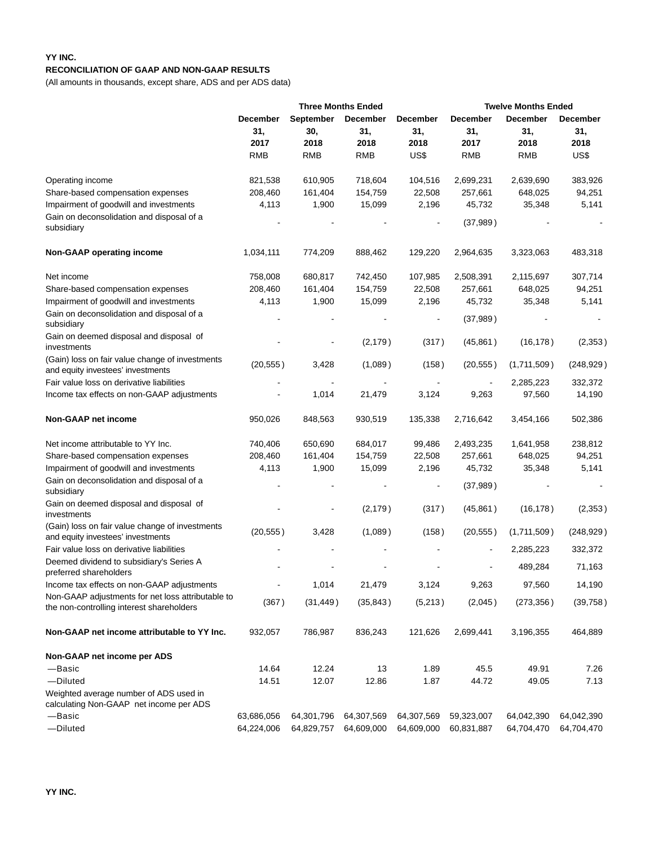# **YY INC. RECONCILIATION OF GAAP AND NON-GAAP RESULTS**

|                                                                                                | <b>Twelve Months Ended</b><br><b>Three Months Ended</b> |                          |                                |                                |                                |                                |                                |
|------------------------------------------------------------------------------------------------|---------------------------------------------------------|--------------------------|--------------------------------|--------------------------------|--------------------------------|--------------------------------|--------------------------------|
|                                                                                                | December<br>31,<br>2017                                 | September<br>30,<br>2018 | <b>December</b><br>31,<br>2018 | <b>December</b><br>31,<br>2018 | <b>December</b><br>31,<br>2017 | <b>December</b><br>31,<br>2018 | <b>December</b><br>31,<br>2018 |
|                                                                                                | <b>RMB</b>                                              | <b>RMB</b>               | <b>RMB</b>                     | US\$                           | <b>RMB</b>                     | RMB                            | US\$                           |
| Operating income                                                                               | 821,538                                                 | 610,905                  | 718,604                        | 104,516                        | 2,699,231                      | 2,639,690                      | 383,926                        |
| Share-based compensation expenses                                                              | 208,460                                                 | 161,404                  | 154,759                        | 22,508                         | 257,661                        | 648,025                        | 94,251                         |
| Impairment of goodwill and investments                                                         | 4,113                                                   | 1,900                    | 15,099                         | 2,196                          | 45,732                         | 35,348                         | 5,141                          |
| Gain on deconsolidation and disposal of a<br>subsidiary                                        | $\blacksquare$                                          |                          |                                |                                | (37, 989)                      |                                |                                |
| Non-GAAP operating income                                                                      | 1,034,111                                               | 774,209                  | 888,462                        | 129,220                        | 2,964,635                      | 3,323,063                      | 483,318                        |
| Net income                                                                                     | 758,008                                                 | 680,817                  | 742,450                        | 107,985                        | 2,508,391                      | 2,115,697                      | 307,714                        |
| Share-based compensation expenses                                                              | 208,460                                                 | 161,404                  | 154,759                        | 22,508                         | 257,661                        | 648,025                        | 94,251                         |
| Impairment of goodwill and investments                                                         | 4,113                                                   | 1,900                    | 15,099                         | 2,196                          | 45,732                         | 35,348                         | 5,141                          |
| Gain on deconsolidation and disposal of a<br>subsidiary                                        |                                                         |                          |                                |                                | (37,989)                       |                                |                                |
| Gain on deemed disposal and disposal of<br>investments                                         |                                                         |                          | (2, 179)                       | (317)                          | (45, 861)                      | (16, 178)                      | (2, 353)                       |
| (Gain) loss on fair value change of investments<br>and equity investees' investments           | (20, 555)                                               | 3,428                    | (1,089)                        | (158)                          | (20, 555)                      | (1,711,509)                    | (248, 929)                     |
| Fair value loss on derivative liabilities                                                      |                                                         |                          |                                |                                |                                | 2,285,223                      | 332,372                        |
| Income tax effects on non-GAAP adjustments                                                     |                                                         | 1,014                    | 21,479                         | 3,124                          | 9,263                          | 97,560                         | 14,190                         |
| Non-GAAP net income                                                                            | 950,026                                                 | 848,563                  | 930,519                        | 135,338                        | 2,716,642                      | 3,454,166                      | 502,386                        |
| Net income attributable to YY Inc.                                                             | 740,406                                                 | 650,690                  | 684,017                        | 99,486                         | 2,493,235                      | 1,641,958                      | 238,812                        |
| Share-based compensation expenses                                                              | 208,460                                                 | 161,404                  | 154,759                        | 22,508                         | 257,661                        | 648,025                        | 94,251                         |
| Impairment of goodwill and investments                                                         | 4,113                                                   | 1,900                    | 15,099                         | 2,196                          | 45,732                         | 35,348                         | 5,141                          |
| Gain on deconsolidation and disposal of a<br>subsidiary                                        |                                                         |                          |                                |                                | (37,989)                       |                                |                                |
| Gain on deemed disposal and disposal of<br>investments                                         |                                                         |                          | (2, 179)                       | (317)                          | (45, 861)                      | (16, 178)                      | (2, 353)                       |
| (Gain) loss on fair value change of investments<br>and equity investees' investments           | (20, 555)                                               | 3,428                    | (1,089)                        | (158)                          | (20, 555)                      | (1,711,509)                    | (248, 929)                     |
| Fair value loss on derivative liabilities                                                      |                                                         |                          |                                |                                |                                | 2,285,223                      | 332,372                        |
| Deemed dividend to subsidiary's Series A<br>preferred shareholders                             |                                                         |                          |                                |                                |                                | 489,284                        | 71,163                         |
| Income tax effects on non-GAAP adjustments                                                     |                                                         | 1,014                    | 21,479                         | 3,124                          | 9,263                          | 97,560                         | 14,190                         |
| Non-GAAP adjustments for net loss attributable to<br>the non-controlling interest shareholders | (367)                                                   | (31, 449)                | (35, 843)                      | (5,213)                        | (2,045)                        | (273, 356)                     | (39, 758)                      |
| Non-GAAP net income attributable to YY Inc.                                                    | 932,057                                                 | 786,987                  | 836,243                        | 121,626                        | 2,699,441                      | 3,196,355                      | 464,889                        |
| Non-GAAP net income per ADS                                                                    |                                                         |                          |                                |                                |                                |                                |                                |
| —Basic                                                                                         | 14.64                                                   | 12.24                    | 13                             | 1.89                           | 45.5                           | 49.91                          | 7.26                           |
| -Diluted                                                                                       | 14.51                                                   | 12.07                    | 12.86                          | 1.87                           | 44.72                          | 49.05                          | 7.13                           |
| Weighted average number of ADS used in<br>calculating Non-GAAP net income per ADS              |                                                         |                          |                                |                                |                                |                                |                                |
| -Basic                                                                                         | 63,686,056                                              | 64,301,796               | 64,307,569                     | 64,307,569                     | 59,323,007                     | 64,042,390                     | 64,042,390                     |
| -Diluted                                                                                       | 64,224,006                                              | 64,829,757               | 64,609,000                     | 64,609,000                     | 60,831,887                     | 64,704,470                     | 64,704,470                     |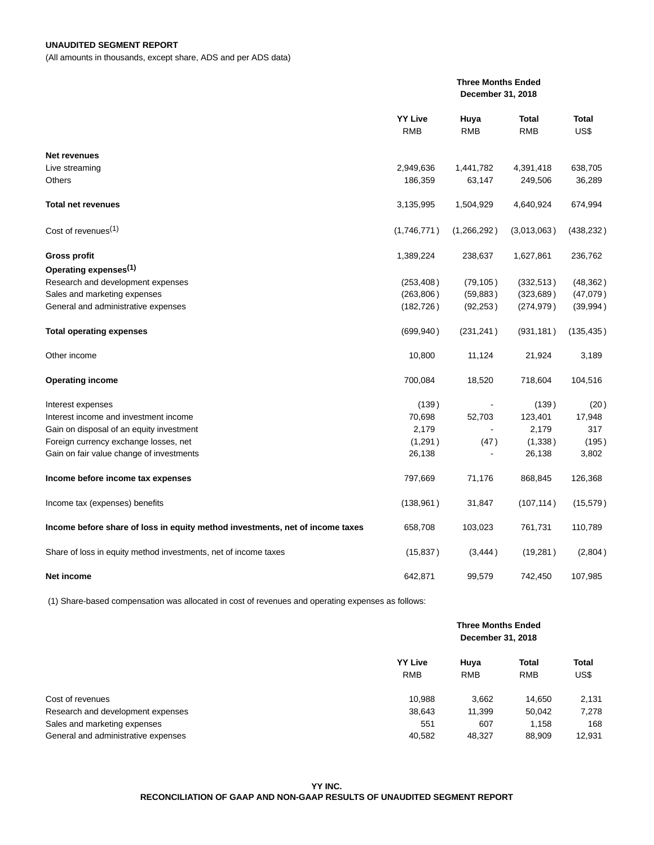#### **UNAUDITED SEGMENT REPORT**

(All amounts in thousands, except share, ADS and per ADS data)

# **Three Months Ended December 31, 2018**

|                                                                               | <b>YY Live</b><br><b>RMB</b> | Huya<br><b>RMB</b>       | Total<br><b>RMB</b> | Total<br>US\$ |
|-------------------------------------------------------------------------------|------------------------------|--------------------------|---------------------|---------------|
| <b>Net revenues</b>                                                           |                              |                          |                     |               |
| Live streaming                                                                | 2,949,636                    | 1,441,782                | 4,391,418           | 638,705       |
| Others                                                                        | 186,359                      | 63,147                   | 249,506             | 36,289        |
| <b>Total net revenues</b>                                                     | 3,135,995                    | 1,504,929                | 4,640,924           | 674,994       |
| Cost of revenues <sup>(1)</sup>                                               | (1,746,771)                  | (1,266,292)              | (3,013,063)         | (438, 232)    |
| <b>Gross profit</b>                                                           | 1,389,224                    | 238,637                  | 1,627,861           | 236,762       |
| Operating expenses <sup>(1)</sup>                                             |                              |                          |                     |               |
| Research and development expenses                                             | (253, 408)                   | (79, 105)                | (332, 513)          | (48, 362)     |
| Sales and marketing expenses                                                  | (263, 806)                   | (59, 883)                | (323, 689)          | (47,079)      |
| General and administrative expenses                                           | (182, 726)                   | (92, 253)                | (274, 979)          | (39, 994)     |
| <b>Total operating expenses</b>                                               | (699, 940)                   | (231, 241)               | (931, 181)          | (135, 435)    |
| Other income                                                                  | 10,800                       | 11,124                   | 21,924              | 3,189         |
| <b>Operating income</b>                                                       | 700,084                      | 18,520                   | 718,604             | 104,516       |
| Interest expenses                                                             | (139)                        | $\blacksquare$           | (139)               | (20)          |
| Interest income and investment income                                         | 70,698                       | 52,703                   | 123,401             | 17,948        |
| Gain on disposal of an equity investment                                      | 2,179                        | $\overline{\phantom{a}}$ | 2,179               | 317           |
| Foreign currency exchange losses, net                                         | (1,291)                      | (47)                     | (1, 338)            | (195)         |
| Gain on fair value change of investments                                      | 26,138                       | $\blacksquare$           | 26,138              | 3,802         |
| Income before income tax expenses                                             | 797,669                      | 71,176                   | 868,845             | 126,368       |
| Income tax (expenses) benefits                                                | (138, 961)                   | 31,847                   | (107, 114)          | (15, 579)     |
| Income before share of loss in equity method investments, net of income taxes | 658,708                      | 103,023                  | 761,731             | 110,789       |
| Share of loss in equity method investments, net of income taxes               | (15, 837)                    | (3, 444)                 | (19, 281)           | (2,804)       |
| Net income                                                                    | 642,871                      | 99,579                   | 742,450             | 107,985       |

(1) Share-based compensation was allocated in cost of revenues and operating expenses as follows:

# **Three Months Ended December 31, 2018**

|                                     | <b>YY Live</b><br><b>RMB</b> | Huva<br><b>RMB</b> | Total<br><b>RMB</b> | Total<br>US\$ |
|-------------------------------------|------------------------------|--------------------|---------------------|---------------|
| Cost of revenues                    | 10.988                       | 3.662              | 14.650              | 2.131         |
| Research and development expenses   | 38.643                       | 11.399             | 50.042              | 7.278         |
| Sales and marketing expenses        | 551                          | 607                | 1.158               | 168           |
| General and administrative expenses | 40.582                       | 48.327             | 88.909              | 12.931        |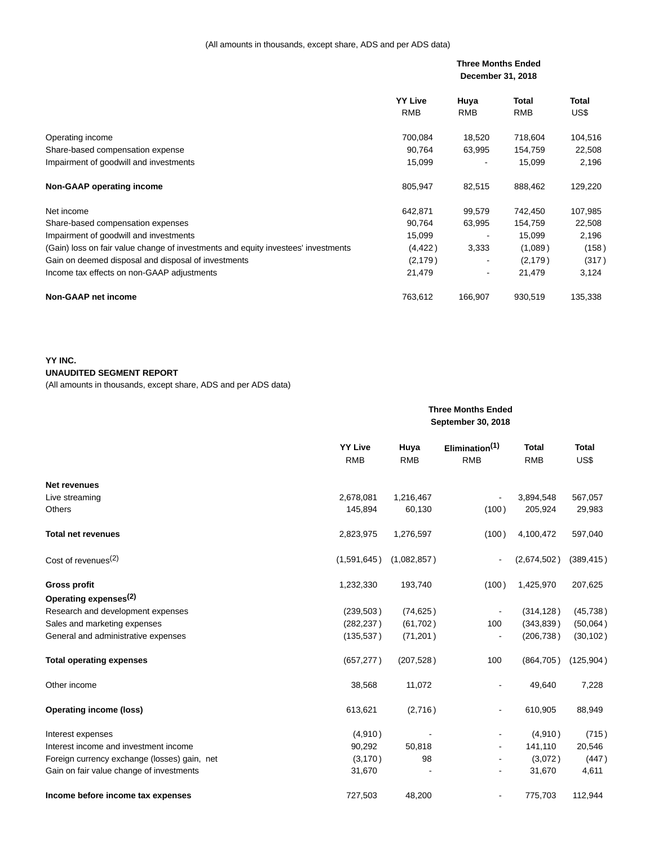## **Three Months Ended December 31, 2018**

|                                                                                                | <b>YY Live</b><br><b>RMB</b> | Huya<br><b>RMB</b>       | Total<br><b>RMB</b>          | Total<br>US\$              |
|------------------------------------------------------------------------------------------------|------------------------------|--------------------------|------------------------------|----------------------------|
| Operating income<br>Share-based compensation expense<br>Impairment of goodwill and investments | 700,084<br>90,764<br>15,099  | 18,520<br>63,995         | 718,604<br>154,759<br>15,099 | 104,516<br>22,508<br>2,196 |
| Non-GAAP operating income                                                                      | 805,947                      | 82,515                   | 888,462                      | 129,220                    |
| Net income                                                                                     | 642,871                      | 99,579                   | 742,450                      | 107,985                    |
| Share-based compensation expenses                                                              | 90,764                       | 63,995                   | 154,759                      | 22,508                     |
| Impairment of goodwill and investments                                                         | 15,099                       |                          | 15,099                       | 2,196                      |
| (Gain) loss on fair value change of investments and equity investees' investments              | (4, 422)                     | 3,333                    | (1,089)                      | (158)                      |
| Gain on deemed disposal and disposal of investments                                            | (2, 179)                     | $\overline{\phantom{a}}$ | (2, 179)                     | (317)                      |
| Income tax effects on non-GAAP adjustments                                                     | 21,479                       | $\blacksquare$           | 21,479                       | 3,124                      |
| Non-GAAP net income                                                                            | 763,612                      | 166,907                  | 930,519                      | 135,338                    |

**YY INC.**

# **UNAUDITED SEGMENT REPORT**

|                                              | <b>Three Months Ended</b><br>September 30, 2018 |                    |                                          |                            |                      |
|----------------------------------------------|-------------------------------------------------|--------------------|------------------------------------------|----------------------------|----------------------|
|                                              | <b>YY Live</b><br><b>RMB</b>                    | Huya<br><b>RMB</b> | Elimination <sup>(1)</sup><br><b>RMB</b> | <b>Total</b><br><b>RMB</b> | <b>Total</b><br>US\$ |
| <b>Net revenues</b>                          |                                                 |                    |                                          |                            |                      |
| Live streaming                               | 2,678,081                                       | 1,216,467          |                                          | 3,894,548                  | 567,057              |
| <b>Others</b>                                | 145,894                                         | 60,130             | (100)                                    | 205,924                    | 29,983               |
| <b>Total net revenues</b>                    | 2,823,975                                       | 1,276,597          | (100)                                    | 4,100,472                  | 597,040              |
| Cost of revenues <sup>(2)</sup>              | (1,591,645)                                     | (1,082,857)        | ä,                                       | (2,674,502)                | (389, 415)           |
| <b>Gross profit</b>                          | 1,232,330                                       | 193,740            | (100)                                    | 1,425,970                  | 207,625              |
| Operating expenses <sup>(2)</sup>            |                                                 |                    |                                          |                            |                      |
| Research and development expenses            | (239, 503)                                      | (74, 625)          | $\qquad \qquad \blacksquare$             | (314, 128)                 | (45, 738)            |
| Sales and marketing expenses                 | (282, 237)                                      | (61, 702)          | 100                                      | (343, 839)                 | (50,064)             |
| General and administrative expenses          | (135, 537)                                      | (71, 201)          | $\overline{\phantom{0}}$                 | (206, 738)                 | (30, 102)            |
| <b>Total operating expenses</b>              | (657, 277)                                      | (207, 528)         | 100                                      | (864, 705)                 | (125, 904)           |
| Other income                                 | 38,568                                          | 11,072             |                                          | 49,640                     | 7,228                |
| <b>Operating income (loss)</b>               | 613,621                                         | (2,716)            |                                          | 610,905                    | 88,949               |
| Interest expenses                            | (4,910)                                         |                    |                                          | (4,910)                    | (715)                |
| Interest income and investment income        | 90,292                                          | 50,818             |                                          | 141,110                    | 20,546               |
| Foreign currency exchange (losses) gain, net | (3, 170)                                        | 98                 |                                          | (3,072)                    | (447)                |
| Gain on fair value change of investments     | 31,670                                          |                    |                                          | 31,670                     | 4,611                |
| Income before income tax expenses            | 727,503                                         | 48,200             |                                          | 775,703                    | 112,944              |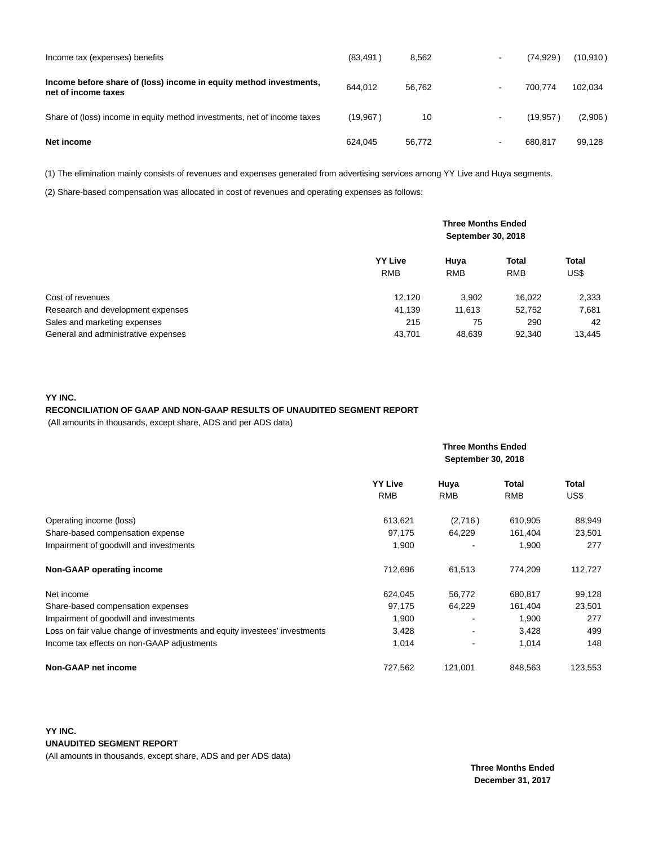| Income tax (expenses) benefits                                                            | (83, 491) | 8.562  | $\blacksquare$ | (74.929) | (10, 910) |
|-------------------------------------------------------------------------------------------|-----------|--------|----------------|----------|-----------|
| Income before share of (loss) income in equity method investments,<br>net of income taxes | 644.012   | 56.762 | $\blacksquare$ | 700.774  | 102.034   |
| Share of (loss) income in equity method investments, net of income taxes                  | (19.967)  | 10     | $\blacksquare$ | (19.957) | (2,906)   |
| Net income                                                                                | 624.045   | 56,772 | $\blacksquare$ | 680.817  | 99.128    |

(1) The elimination mainly consists of revenues and expenses generated from advertising services among YY Live and Huya segments.

(2) Share-based compensation was allocated in cost of revenues and operating expenses as follows:

|                                     | <b>Three Months Ended</b><br>September 30, 2018 |                    |                            |               |
|-------------------------------------|-------------------------------------------------|--------------------|----------------------------|---------------|
|                                     | <b>YY Live</b><br><b>RMB</b>                    | Huya<br><b>RMB</b> | <b>Total</b><br><b>RMB</b> | Total<br>US\$ |
| Cost of revenues                    | 12.120                                          | 3,902              | 16,022                     | 2,333         |
| Research and development expenses   | 41,139                                          | 11,613             | 52,752                     | 7,681         |
| Sales and marketing expenses        | 215                                             | 75                 | 290                        | 42            |
| General and administrative expenses | 43,701                                          | 48.639             | 92,340                     | 13,445        |

#### **YY INC.**

### **RECONCILIATION OF GAAP AND NON-GAAP RESULTS OF UNAUDITED SEGMENT REPORT**

(All amounts in thousands, except share, ADS and per ADS data)

|                                                                            | <b>Three Months Ended</b><br>September 30, 2018 |                    |                     |               |
|----------------------------------------------------------------------------|-------------------------------------------------|--------------------|---------------------|---------------|
|                                                                            | <b>YY Live</b><br><b>RMB</b>                    | Huya<br><b>RMB</b> | Total<br><b>RMB</b> | Total<br>US\$ |
| Operating income (loss)                                                    | 613,621                                         | (2,716)            | 610,905             | 88,949        |
| Share-based compensation expense                                           | 97,175                                          | 64,229             | 161,404             | 23,501        |
| Impairment of goodwill and investments                                     | 1,900                                           |                    | 1,900               | 277           |
| Non-GAAP operating income                                                  | 712,696                                         | 61,513             | 774,209             | 112,727       |
| Net income                                                                 | 624,045                                         | 56,772             | 680,817             | 99,128        |
| Share-based compensation expenses                                          | 97,175                                          | 64,229             | 161,404             | 23,501        |
| Impairment of goodwill and investments                                     | 1,900                                           |                    | 1,900               | 277           |
| Loss on fair value change of investments and equity investees' investments | 3,428                                           | ٠                  | 3,428               | 499           |
| Income tax effects on non-GAAP adjustments                                 | 1,014                                           |                    | 1,014               | 148           |
| Non-GAAP net income                                                        | 727,562                                         | 121,001            | 848,563             | 123,553       |

**YY INC. UNAUDITED SEGMENT REPORT**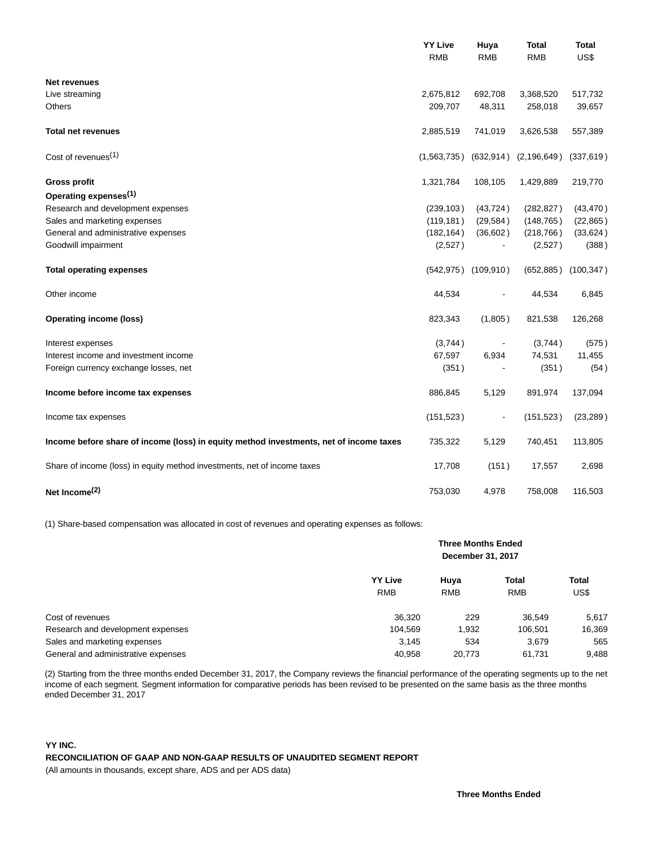|                                                                                        | <b>YY Live</b><br><b>RMB</b> | Huya<br><b>RMB</b>      | <b>Total</b><br><b>RMB</b> | <b>Total</b><br>US\$ |
|----------------------------------------------------------------------------------------|------------------------------|-------------------------|----------------------------|----------------------|
| Net revenues                                                                           |                              |                         |                            |                      |
| Live streaming                                                                         | 2,675,812                    | 692,708                 | 3,368,520                  | 517,732              |
| <b>Others</b>                                                                          | 209,707                      | 48,311                  | 258,018                    | 39,657               |
| <b>Total net revenues</b>                                                              | 2,885,519                    | 741,019                 | 3,626,538                  | 557,389              |
| Cost of revenues <sup>(1)</sup>                                                        | (1,563,735)                  | (632, 914)              | (2, 196, 649)              | (337, 619)           |
| <b>Gross profit</b>                                                                    | 1,321,784                    | 108,105                 | 1,429,889                  | 219,770              |
| Operating expenses <sup>(1)</sup>                                                      |                              |                         |                            |                      |
| Research and development expenses                                                      | (239, 103)                   | (43, 724)               | (282, 827)                 | (43, 470)            |
| Sales and marketing expenses                                                           | (119, 181)                   | (29, 584)               | (148, 765)                 | (22, 865)            |
| General and administrative expenses                                                    | (182, 164)                   | (36,602)                | (218, 766)                 | (33, 624)            |
| Goodwill impairment                                                                    | (2,527)                      |                         | (2,527)                    | (388)                |
| <b>Total operating expenses</b>                                                        |                              | $(542.975)$ $(109.910)$ | (652, 885)                 | (100, 347)           |
| Other income                                                                           | 44,534                       |                         | 44,534                     | 6,845                |
| <b>Operating income (loss)</b>                                                         | 823,343                      | (1,805)                 | 821,538                    | 126,268              |
| Interest expenses                                                                      | (3,744)                      |                         | (3,744)                    | (575)                |
| Interest income and investment income                                                  | 67,597                       | 6,934                   | 74,531                     | 11,455               |
| Foreign currency exchange losses, net                                                  | (351)                        |                         | (351)                      | (54)                 |
| Income before income tax expenses                                                      | 886,845                      | 5,129                   | 891,974                    | 137,094              |
| Income tax expenses                                                                    | (151, 523)                   | $\blacksquare$          | (151, 523)                 | (23, 289)            |
| Income before share of income (loss) in equity method investments, net of income taxes | 735,322                      | 5,129                   | 740,451                    | 113,805              |
| Share of income (loss) in equity method investments, net of income taxes               | 17,708                       | (151)                   | 17,557                     | 2,698                |
| Net Income <sup>(2)</sup>                                                              | 753,030                      | 4,978                   | 758,008                    | 116,503              |

(1) Share-based compensation was allocated in cost of revenues and operating expenses as follows:

|                                     |                              | December 31, 2017  |                            |                      |  |  |
|-------------------------------------|------------------------------|--------------------|----------------------------|----------------------|--|--|
|                                     | <b>YY Live</b><br><b>RMB</b> | Huya<br><b>RMB</b> | <b>Total</b><br><b>RMB</b> | <b>Total</b><br>US\$ |  |  |
| Cost of revenues                    | 36.320                       | 229                | 36.549                     | 5.617                |  |  |
| Research and development expenses   | 104.569                      | 1.932              | 106.501                    | 16,369               |  |  |
| Sales and marketing expenses        | 3.145                        | 534                | 3.679                      | 565                  |  |  |
| General and administrative expenses | 40.958                       | 20.773             | 61.731                     | 9.488                |  |  |

(2) Starting from the three months ended December 31, 2017, the Company reviews the financial performance of the operating segments up to the net income of each segment. Segment information for comparative periods has been revised to be presented on the same basis as the three months ended December 31, 2017

# **YY INC. RECONCILIATION OF GAAP AND NON-GAAP RESULTS OF UNAUDITED SEGMENT REPORT**

(All amounts in thousands, except share, ADS and per ADS data)

**Three Months Ended**